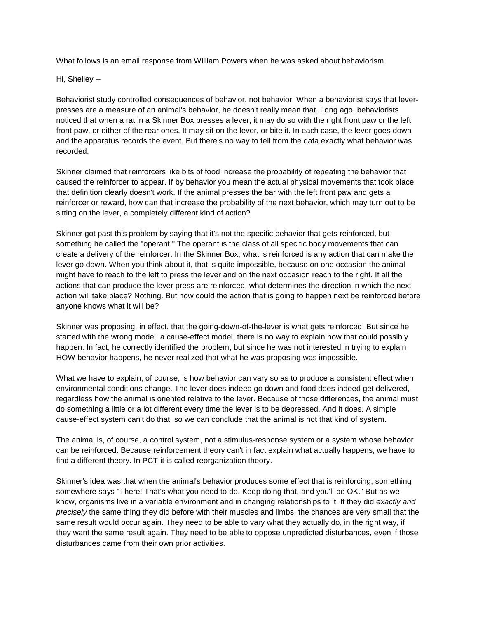What follows is an email response from William Powers when he was asked about behaviorism.

Hi, Shelley --

Behaviorist study controlled consequences of behavior, not behavior. When a behaviorist says that leverpresses are a measure of an animal's behavior, he doesn't really mean that. Long ago, behaviorists noticed that when a rat in a Skinner Box presses a lever, it may do so with the right front paw or the left front paw, or either of the rear ones. It may sit on the lever, or bite it. In each case, the lever goes down and the apparatus records the event. But there's no way to tell from the data exactly what behavior was recorded.

Skinner claimed that reinforcers like bits of food increase the probability of repeating the behavior that caused the reinforcer to appear. If by behavior you mean the actual physical movements that took place that definition clearly doesn't work. If the animal presses the bar with the left front paw and gets a reinforcer or reward, how can that increase the probability of the next behavior, which may turn out to be sitting on the lever, a completely different kind of action?

Skinner got past this problem by saying that it's not the specific behavior that gets reinforced, but something he called the "operant." The operant is the class of all specific body movements that can create a delivery of the reinforcer. In the Skinner Box, what is reinforced is any action that can make the lever go down. When you think about it, that is quite impossible, because on one occasion the animal might have to reach to the left to press the lever and on the next occasion reach to the right. If all the actions that can produce the lever press are reinforced, what determines the direction in which the next action will take place? Nothing. But how could the action that is going to happen next be reinforced before anyone knows what it will be?

Skinner was proposing, in effect, that the going-down-of-the-lever is what gets reinforced. But since he started with the wrong model, a cause-effect model, there is no way to explain how that could possibly happen. In fact, he correctly identified the problem, but since he was not interested in trying to explain HOW behavior happens, he never realized that what he was proposing was impossible.

What we have to explain, of course, is how behavior can vary so as to produce a consistent effect when environmental conditions change. The lever does indeed go down and food does indeed get delivered, regardless how the animal is oriented relative to the lever. Because of those differences, the animal must do something a little or a lot different every time the lever is to be depressed. And it does. A simple cause-effect system can't do that, so we can conclude that the animal is not that kind of system.

The animal is, of course, a control system, not a stimulus-response system or a system whose behavior can be reinforced. Because reinforcement theory can't in fact explain what actually happens, we have to find a different theory. In PCT it is called reorganization theory.

Skinner's idea was that when the animal's behavior produces some effect that is reinforcing, something somewhere says "There! That's what you need to do. Keep doing that, and you'll be OK." But as we know, organisms live in a variable environment and in changing relationships to it. If they did *exactly and precisely* the same thing they did before with their muscles and limbs, the chances are very small that the same result would occur again. They need to be able to vary what they actually do, in the right way, if they want the same result again. They need to be able to oppose unpredicted disturbances, even if those disturbances came from their own prior activities.